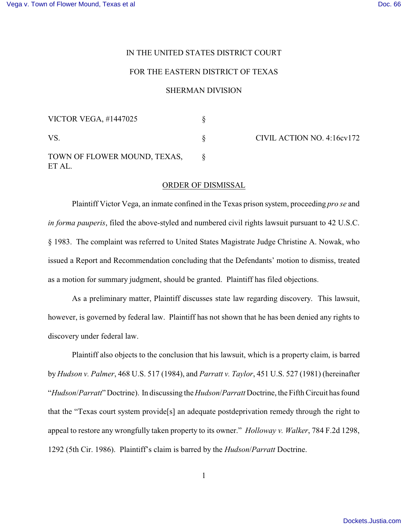## IN THE UNITED STATES DISTRICT COURT

## FOR THE EASTERN DISTRICT OF TEXAS

## SHERMAN DIVISION

| <b>VICTOR VEGA, #1447025</b>           |  |
|----------------------------------------|--|
| VS.                                    |  |
| TOWN OF FLOWER MOUND, TEXAS,<br>ET AL. |  |

CIVIL ACTION NO. 4:16cv172

## ORDER OF DISMISSAL

Plaintiff Victor Vega, an inmate confined in the Texas prison system, proceeding *pro se* and *in forma pauperis*, filed the above-styled and numbered civil rights lawsuit pursuant to 42 U.S.C. § 1983. The complaint was referred to United States Magistrate Judge Christine A. Nowak, who issued a Report and Recommendation concluding that the Defendants' motion to dismiss, treated as a motion for summary judgment, should be granted. Plaintiff has filed objections.

As a preliminary matter, Plaintiff discusses state law regarding discovery. This lawsuit, however, is governed by federal law. Plaintiff has not shown that he has been denied any rights to discovery under federal law.

Plaintiff also objects to the conclusion that his lawsuit, which is a property claim, is barred by *Hudson v. Palmer*, 468 U.S. 517 (1984), and *Parratt v. Taylor*, 451 U.S. 527 (1981) (hereinafter "*Hudson*/*Parratt*"Doctrine). In discussing the *Hudson*/*Parratt* Doctrine, the Fifth Circuit has found that the "Texas court system provide[s] an adequate postdeprivation remedy through the right to appeal to restore any wrongfully taken property to its owner." *Holloway v. Walker*, 784 F.2d 1298, 1292 (5th Cir. 1986). Plaintiff's claim is barred by the *Hudson*/*Parratt* Doctrine.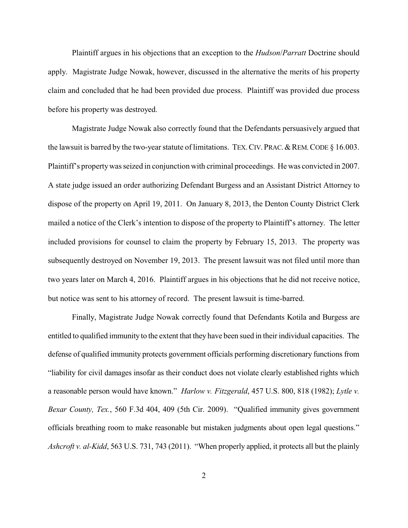Plaintiff argues in his objections that an exception to the *Hudson*/*Parratt* Doctrine should apply. Magistrate Judge Nowak, however, discussed in the alternative the merits of his property claim and concluded that he had been provided due process. Plaintiff was provided due process before his property was destroyed.

Magistrate Judge Nowak also correctly found that the Defendants persuasively argued that the lawsuit is barred by the two-year statute of limitations. TEX. CIV. PRAC. & REM. CODE § 16.003. Plaintiff's propertywas seized in conjunction with criminal proceedings. He was convicted in 2007. A state judge issued an order authorizing Defendant Burgess and an Assistant District Attorney to dispose of the property on April 19, 2011. On January 8, 2013, the Denton County District Clerk mailed a notice of the Clerk's intention to dispose of the property to Plaintiff's attorney. The letter included provisions for counsel to claim the property by February 15, 2013. The property was subsequently destroyed on November 19, 2013. The present lawsuit was not filed until more than two years later on March 4, 2016. Plaintiff argues in his objections that he did not receive notice, but notice was sent to his attorney of record. The present lawsuit is time-barred.

Finally, Magistrate Judge Nowak correctly found that Defendants Kotila and Burgess are entitled to qualified immunity to the extent that they have been sued in their individual capacities. The defense of qualified immunity protects government officials performing discretionary functions from "liability for civil damages insofar as their conduct does not violate clearly established rights which a reasonable person would have known." *Harlow v. Fitzgerald*, 457 U.S. 800, 818 (1982); *Lytle v. Bexar County, Tex.*, 560 F.3d 404, 409 (5th Cir. 2009). "Qualified immunity gives government officials breathing room to make reasonable but mistaken judgments about open legal questions." *Ashcroft v. al-Kidd*, 563 U.S. 731, 743 (2011). "When properly applied, it protects all but the plainly